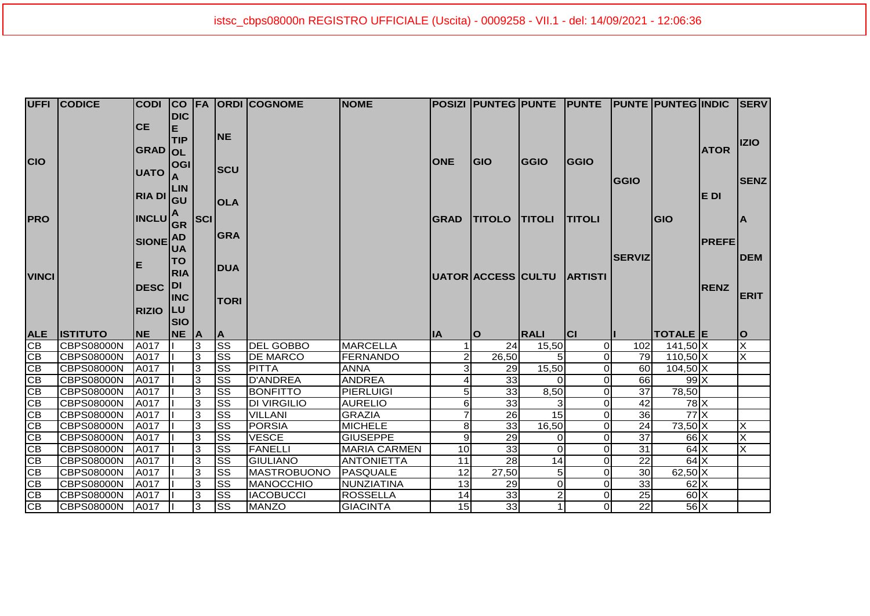|                 | <b>UFFI CODICE</b>              | <b>CODI</b>                                          |                           |                |                                     | <b>CO FA ORDI COGNOME</b>        | <b>NOME</b>                        |                 |                            |                |               |                       | POSIZI   PUNTEG   PUNTE   PUNTE   PUNTE   PUNTEG   INDIC   SERV |              |                         |
|-----------------|---------------------------------|------------------------------------------------------|---------------------------|----------------|-------------------------------------|----------------------------------|------------------------------------|-----------------|----------------------------|----------------|---------------|-----------------------|-----------------------------------------------------------------|--------------|-------------------------|
|                 |                                 | <b>CE</b>                                            | <b>DIC</b><br>IE.         |                | <b>INE</b>                          |                                  |                                    |                 |                            |                |               |                       |                                                                 |              |                         |
| <b>CIO</b>      |                                 | <b>GRAD OL</b>                                       | <b>TIP</b>                |                |                                     |                                  |                                    | <b>ONE</b>      | <b>GIO</b>                 | <b>GGIO</b>    | <b>GGIO</b>   |                       |                                                                 | <b>ATOR</b>  | <b>IZIO</b>             |
|                 |                                 | <b>UATO</b>                                          | OGI                       |                | <b>SCU</b>                          |                                  |                                    |                 |                            |                |               | <b>GGIO</b>           |                                                                 |              | <b>SENZ</b>             |
|                 |                                 | RIA DI GU                                            |                           |                | <b>OLA</b>                          |                                  |                                    |                 |                            |                |               |                       |                                                                 | IE DI        |                         |
| <b>PRO</b>      |                                 | $\left \mathsf{INCLU}\right _\mathsf{GR}^\mathsf{A}$ |                           | SCI            |                                     |                                  |                                    | <b>GRAD</b>     | <b>TITOLO TITOLI</b>       |                | <b>TITOLI</b> |                       | <b>GIO</b>                                                      |              | ΙA                      |
|                 |                                 | SIONE AD                                             | <b>UA</b>                 |                | <b>GRA</b>                          |                                  |                                    |                 |                            |                |               |                       |                                                                 | <b>PREFE</b> |                         |
| <b>VINCI</b>    |                                 | Е                                                    | <b>ITO</b><br><b>IRIA</b> |                | <b>DUA</b>                          |                                  |                                    |                 | UATOR ACCESS CULTU ARTISTI |                |               | <b>SERVIZ</b>         |                                                                 |              | <b>IDEM</b>             |
|                 |                                 | <b>DESC</b>                                          | <b>DI</b>                 |                |                                     |                                  |                                    |                 |                            |                |               |                       |                                                                 | <b>RENZ</b>  | <b>ERIT</b>             |
|                 |                                 |                                                      | <b>INC</b>                |                | <b>TORI</b>                         |                                  |                                    |                 |                            |                |               |                       |                                                                 |              |                         |
|                 |                                 |                                                      |                           |                |                                     |                                  |                                    |                 |                            |                |               |                       |                                                                 |              |                         |
|                 |                                 | <b>RIZIO</b>                                         | <b>LU</b><br><b>SIO</b>   |                |                                     |                                  |                                    |                 |                            |                |               |                       |                                                                 |              |                         |
| <b>ALE</b>      | <b>ISTITUTO</b>                 | <b>NE</b>                                            | <b>NE</b>                 | A              | ΙA                                  |                                  |                                    | <b>IA</b>       | ΙO                         | <b>IRALI</b>   | <b>CI</b>     |                       | TOTALE E                                                        |              | lO                      |
| CB              | <b>CBPS08000N</b>               | A017                                                 |                           | $\overline{3}$ | <b>SS</b>                           | <b>DEL GOBBO</b>                 | <b>MARCELLA</b>                    | 1               | 24                         | 15,50          | $\Omega$      | 102                   | 141,50 X                                                        |              | $\overline{\mathsf{x}}$ |
| CB              | <b>CBPS08000N</b>               | A017                                                 |                           | 3              | $\overline{\text{SS}}$              | <b>DE MARCO</b>                  | <b>FERNANDO</b>                    | $\overline{2}$  | 26,50                      |                | $\Omega$      | 79                    | $110,50$ X                                                      |              | X                       |
| $\overline{CB}$ | CBPS08000N                      | A017                                                 |                           | 3              | $\overline{\text{SS}}$              | <b>PITTA</b>                     | <b>ANNA</b>                        | зI              | 29                         | 15,50          | $\Omega$      | 60                    | $104,50$ X                                                      |              |                         |
| CB              | <b>CBPS08000N</b>               | A017                                                 |                           | 3              | <b>SS</b>                           | <b>D'ANDREA</b>                  | <b>ANDREA</b>                      |                 | 33                         | $\Omega$       | $\Omega$      | 66                    | $99$ X                                                          |              |                         |
| CB              | <b>CBPS08000N</b>               | A017                                                 |                           | ادی            | $\overline{\text{ss}}$              | <b>BONFITTO</b>                  | <b>PIERLUIGI</b>                   | 5 <sub>l</sub>  | 33                         | 8,50           | $\Omega$      | 37                    | 78,50                                                           |              |                         |
| CB              | <b>CBPS08000N</b>               | A017                                                 |                           | 3              | $\overline{\text{ss}}$              | <b>DI VIRGILIO</b>               | <b>AURELIO</b>                     | $6 \mid$        | 33                         |                | $\Omega$      | 42                    | $78$ $X$                                                        |              |                         |
| CB              | <b>CBPS08000N</b>               | A017                                                 |                           | $\overline{3}$ | $\overline{\text{SS}}$              | <b>VILLANI</b>                   | <b>GRAZIA</b>                      | $\overline{7}$  | $\overline{26}$            | 15             | $\Omega$      | 36                    | $77$ $\times$                                                   |              |                         |
| CB              | CBPS08000N                      | A017                                                 |                           | $\overline{3}$ | $\overline{\text{ss}}$              | <b>PORSIA</b>                    | <b>MICHELE</b>                     | 8 <sup>1</sup>  | 33                         | 16,50          | $\Omega$      | 24                    | $73,50$ X                                                       |              | X                       |
| CB              | CBPS08000N                      | A017                                                 |                           | ဇာ             | SS                                  | <b>VESCE</b>                     | <b>GIUSEPPE</b>                    | 9 <sub>l</sub>  | 29                         | $\Omega$       | $\Omega$      | 37                    | $66$ X                                                          |              | $\overline{\mathsf{x}}$ |
| CB              | CBPS08000N                      | A017                                                 |                           | 3              | $\overline{\text{ss}}$              | <b>FANELLI</b>                   | <b>MARIA CARMEN</b>                | 10 <sup>1</sup> | 33                         | $\Omega$       | $\Omega$      | 31                    | $64$ $X$                                                        |              | X                       |
| CB              | <b>CBPS08000N</b>               | <b>A017</b>                                          |                           | 3              | <b>SS</b>                           | <b>GIULIANO</b>                  | <b>ANTONIETTA</b>                  | 11              | $\overline{28}$            | 14             | $\Omega$      | 22                    | $64$ $X$                                                        |              |                         |
| CB              | <b>CBPS08000N</b>               | A017                                                 |                           | 3              | $\overline{\text{ss}}$              | MASTROBUONO                      | PASQUALE                           | 12              | 27,50                      | 5 <sup>5</sup> | 0             | 30                    | $62,50$ X                                                       |              |                         |
| $\overline{CB}$ | <b>CBPS08000N</b>               | A017                                                 |                           | 3              | <b>SS</b>                           | MANOCCHIO                        | NUNZIATINA                         | 13              | 29                         | $\Omega$       | $\Omega$      | 33                    | $62$ X                                                          |              |                         |
| CB<br>CB        | CBPS08000N<br><b>CBPS08000N</b> | A017                                                 |                           | 3<br>3         | <b>SS</b><br>$\overline{\text{ss}}$ | <b>IACOBUCCI</b><br><b>MANZO</b> | <b>ROSSELLA</b><br><b>GIACINTA</b> | 14<br>15        | 33<br>33                   | $\overline{2}$ | $\Omega$      | 25<br>$\overline{22}$ | $60\text{X}$<br>$56$ $X$                                        |              |                         |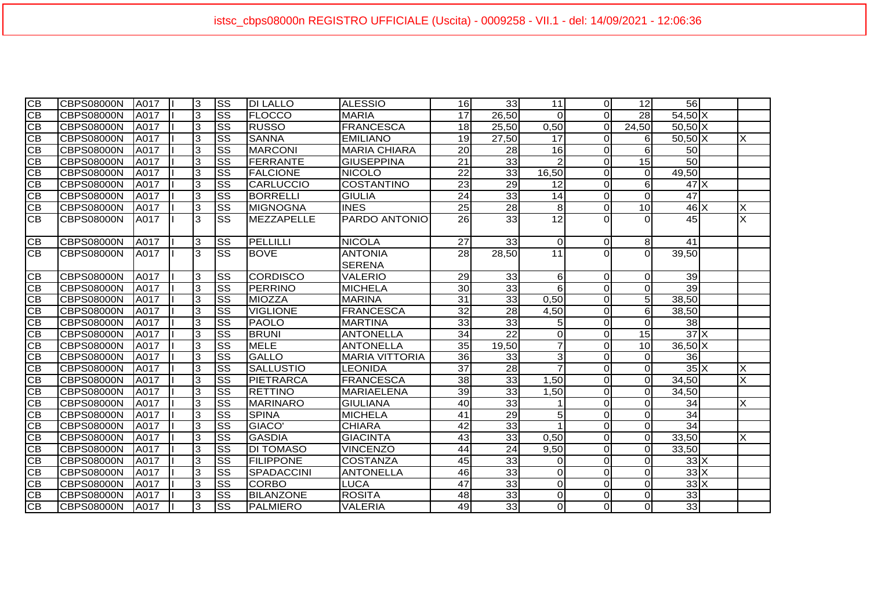| <b>CB</b>       | <b>CBPS08000N</b> | <b>A017</b>  | Ι3           | SS                     | <b>IDI LALLO</b>  | <b>ALESSIO</b>                  | 16              | 33 <sub>1</sub> | 11              | οI             | 12 <sup>1</sup> | 56                                     |   |
|-----------------|-------------------|--------------|--------------|------------------------|-------------------|---------------------------------|-----------------|-----------------|-----------------|----------------|-----------------|----------------------------------------|---|
| CB              | <b>CBPS08000N</b> | <b>A017</b>  | 3            | $\overline{\text{ss}}$ | <b>FLOCCO</b>     | <b>MARIA</b>                    | 17              | 26,50           | $\Omega$        | $\Omega$       | 28              | $54,50$ X                              |   |
| <b>CB</b>       | <b>CBPS08000N</b> | A017         | 3            | $\overline{\text{ss}}$ | <b>RUSSO</b>      | <b>FRANCESCA</b>                | 18              | 25,50           | 0,50            | $\Omega$       | 24,50           | $50,50$ X                              |   |
| <b>CB</b>       | <b>CBPS08000N</b> | A017         | 3            | $\overline{\text{ss}}$ | <b>SANNA</b>      | <b>EMILIANO</b>                 | 19              | 27,50           | $\overline{17}$ | $\Omega$       | $6 \mid$        | $50,50$ X                              | X |
| <b>CB</b>       | <b>CBPS08000N</b> | A017         | 3            | $\overline{\text{ss}}$ | <b>MARCONI</b>    | <b>MARIA CHIARA</b>             | 20              | 28              | 16              | $\Omega$       | $6 \mid$        | 50                                     |   |
| <b>CB</b>       | <b>CBPS08000N</b> | <b>JA017</b> | 3            | $\overline{\text{ss}}$ | <b>IFERRANTE</b>  | <b>GIUSEPPINA</b>               | 21              | 33              |                 | $\Omega$       | 15              | 50                                     |   |
| CB              | <b>CBPS08000N</b> | A017         | 3            | $\overline{\text{ss}}$ | <b>FALCIONE</b>   | <b>NICOLO</b>                   | $\overline{22}$ | 33              | 16,50           | $\overline{O}$ | $\Omega$        | 49,50                                  |   |
| <b>CB</b>       | <b>CBPS08000N</b> | <b>JA017</b> | 3            | $\overline{\text{ss}}$ | <b>CARLUCCIO</b>  | <b>COSTANTINO</b>               | 23              | 29              | 12              | Οl             | $6 \mid$        | $47$ $\overline{\phantom{1}}$ $\times$ |   |
| CB              | <b>CBPS08000N</b> | A017         | 3            | $\overline{\text{ss}}$ | BORRELLI          | <b>GIULIA</b>                   | $\overline{24}$ | 33              | 14              | $\Omega$       | $\Omega$        | 47                                     |   |
| CВ              | <b>CBPS08000N</b> | A017         | 3            | $\overline{\text{ss}}$ | <b>MIGNOGNA</b>   | <b>INES</b>                     | 25              | 28              | 8 <sup>°</sup>  | Οl             | 10 <sup>1</sup> | $46 \times$                            | X |
| CB              | <b>CBPS08000N</b> | <b>A017</b>  | 3            | $\overline{\text{ss}}$ | MEZZAPELLE        | PARDO ANTONIO                   | 26              | 33              | 12              | $\Omega$       | $\Omega$        | 45                                     | X |
| CВ              | <b>CBPS08000N</b> | A017         | 3            | SS                     | PELLILLI          | <b>NICOLA</b>                   | 27              | 33              | $\Omega$        | ΟI             | 8 <sup>1</sup>  | 41                                     |   |
| CB              | <b>CBPS08000N</b> | A017         | 3            | $\overline{\text{ss}}$ | <b>BOVE</b>       | <b>ANTONIA</b><br><b>SERENA</b> | 28              | 28,50           | $\overline{11}$ | ΩI             | $\Omega$        | 39,50                                  |   |
| <b>CB</b>       | <b>CBPS08000N</b> | A017         | 3            | $\overline{\text{ss}}$ | <b>CORDISCO</b>   | <b>VALERIO</b>                  | 29              | 33              | $6 \mid$        | Οl             | $\Omega$        | 39                                     |   |
| <b>CB</b>       | <b>CBPS08000N</b> | A017         | $\sqrt{3}$   | $\overline{\text{ss}}$ | PERRINO           | <b>MICHELA</b>                  | 30 <sup>°</sup> | 33              | 6               | $\Omega$       | $\overline{0}$  | 39                                     |   |
| CB              | <b>CBPS08000N</b> | A017         | 3            | $\overline{\text{ss}}$ | <b>MIOZZA</b>     | <b>MARINA</b>                   | 31              | 33              | 0,50            | $\Omega$       | $\overline{5}$  | 38,50                                  |   |
| <b>CB</b>       | <b>CBPS08000N</b> | A017         | 3            | $\overline{\text{ss}}$ | <b>VIGLIONE</b>   | <b>FRANCESCA</b>                | $\overline{32}$ | $\overline{28}$ | 4,50            | $\overline{0}$ | $\overline{6}$  | 38,50                                  |   |
| <b>CB</b>       | <b>CBPS08000N</b> | <b>JA017</b> | 3            | $\overline{\text{ss}}$ | <b>PAOLO</b>      | <b>MARTINA</b>                  | 33              | 33              | 5               | $\overline{O}$ | $\overline{0}$  | 38                                     |   |
| CB              | <b>CBPS08000N</b> | A017         | 3            | $\overline{\text{ss}}$ | <b>BRUNI</b>      | <b>ANTONELLA</b>                | $\overline{34}$ | $\overline{22}$ | $\Omega$        | $\overline{0}$ | 15              | 37X                                    |   |
| <b>CB</b>       | <b>CBPS08000N</b> | A017         | 3            | $\overline{\text{ss}}$ | <b>MELE</b>       | <b>ANTONELLA</b>                | 35              | 19,50           |                 | $\overline{0}$ | 10              | $36,50$ X                              |   |
| <b>CB</b>       | <b>CBPS08000N</b> | A017         | 3            | $\overline{\text{ss}}$ | <b>GALLO</b>      | <b>MARIA VITTORIA</b>           | 36              | 33              | 3               | $\Omega$       | $\overline{0}$  | 36                                     |   |
| CB              | <b>CBPS08000N</b> | A017         | 3            | $\overline{\text{ss}}$ | <b>SALLUSTIO</b>  | LEONIDA                         | $\overline{37}$ | 28              |                 | $\Omega$       | $\overline{0}$  | $35\overline{\mathrm{X}}$              | X |
| CB              | <b>CBPS08000N</b> | A017         | 3            | $\overline{\text{ss}}$ | <b>PIETRARCA</b>  | <b>FRANCESCA</b>                | 38              | 33              | 1,50            | $\overline{0}$ | $\overline{0}$  | 34,50                                  | X |
| CB              | <b>CBPS08000N</b> | A017         | $\mathbf{3}$ | $\overline{\text{ss}}$ | <b>RETTINO</b>    | <b>MARIAELENA</b>               | 39              | 33              | 1,50            | $\overline{0}$ | $\overline{0}$  | 34,50                                  |   |
| CB              | <b>CBPS08000N</b> | A017         | 3            | $\overline{\text{ss}}$ | <b>MARINARO</b>   | <b>GIULIANA</b>                 | 40              | 33              |                 | $\overline{0}$ | $\overline{0}$  | 34                                     | X |
| <b>CB</b>       | <b>CBPS08000N</b> | A017         | 3            | SS                     | <b>SPINA</b>      | <b>MICHELA</b>                  | 41              | 29              | 5               | $\overline{0}$ | $\overline{0}$  | 34                                     |   |
| CB              | <b>CBPS08000N</b> | A017         | 3            | $\overline{\text{ss}}$ | GIACO'            | <b>CHIARA</b>                   | $\overline{42}$ | 33              |                 | $\overline{0}$ | $\overline{0}$  | 34                                     |   |
| CB              | <b>CBPS08000N</b> | A017         | 3            | $\overline{\text{ss}}$ | <b>GASDIA</b>     | <b>GIACINTA</b>                 | 43              | 33              | 0,50            | $\Omega$       | $\overline{0}$  | 33,50                                  | X |
| CB              | <b>CBPS08000N</b> | A017         | 3            | $\overline{\text{SS}}$ | <b>DI TOMASO</b>  | <b>VINCENZO</b>                 | 44              | $\overline{24}$ | 9,50            | $\Omega$       | $\overline{0}$  | 33,50                                  |   |
| CB              | <b>CBPS08000N</b> | A017         | 3            | $\overline{\text{ss}}$ | <b>FILIPPONE</b>  | <b>COSTANZA</b>                 | 45              | 33              | $\Omega$        | $\Omega$       | $\Omega$        | $33 \times$                            |   |
| <b>CB</b>       | <b>CBPS08000N</b> | A017         | 3            | $\overline{\text{ss}}$ | <b>SPADACCINI</b> | <b>ANTONELLA</b>                | 46              | 33              | $\Omega$        | $\overline{0}$ | $\Omega$        | $33 \times$                            |   |
| CB              | <b>CBPS08000N</b> | A017         | 3            | $\overline{\text{ss}}$ | <b>CORBO</b>      | <b>LUCA</b>                     | $\overline{47}$ | 33              | $\Omega$        | $\overline{0}$ | $\overline{0}$  | $33 \times$                            |   |
| <b>CB</b>       | <b>CBPS08000N</b> | A017         | 3            | SS                     | <b>BILANZONE</b>  | <b>ROSITA</b>                   | 48              | 33              | 0               | $\overline{O}$ | $\overline{0}$  | 33                                     |   |
| $\overline{CB}$ | <b>CBPS08000N</b> | A017         | 3            | $\overline{\text{ss}}$ | PALMIERO          | <b>VALERIA</b>                  | 49              | 33              | $\overline{O}$  | οl             | $\overline{0}$  | 33                                     |   |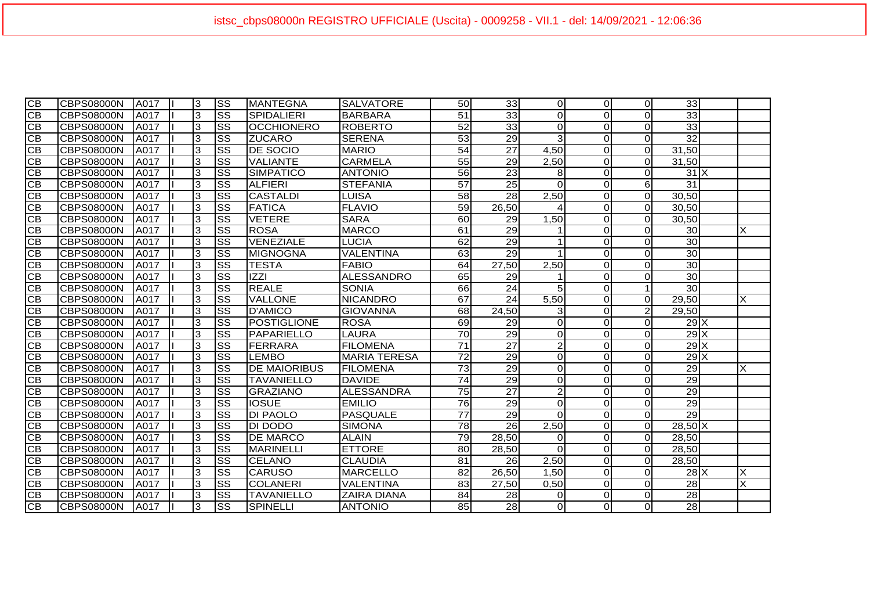| $\overline{CB}$ | <b>CBPS08000N</b> | <b>JA017</b> | 3              | <b>SS</b>              | <b>MANTEGNA</b>     | <b>SALVATORE</b>    | 50              | 33              | $\Omega$       | $\Omega$    | $\Omega$       | 33                 |   |
|-----------------|-------------------|--------------|----------------|------------------------|---------------------|---------------------|-----------------|-----------------|----------------|-------------|----------------|--------------------|---|
| $\overline{CB}$ | CBPS08000N        | A017         | 3              | $\overline{\text{SS}}$ | <b>SPIDALIERI</b>   | <b>BARBARA</b>      | 51              | 33              | $\Omega$       | $\Omega$    | $\Omega$       | 33                 |   |
| CB              | CBPS08000N        | A017         | 3              | $\overline{\text{ss}}$ | <b>OCCHIONERO</b>   | <b>ROBERTO</b>      | 52              | 33              | $\Omega$       | $\Omega$    | $\Omega$       | 33                 |   |
| СB              | CBPS08000N        | <b>JA017</b> | 3              | SS                     | <b>IZUCARO</b>      | <b>SERENA</b>       | 53              | 29              | $\mathbf{3}$   | $\Omega$    | $\Omega$       | 32                 |   |
| <b>CB</b>       | CBPS08000N        | <b>JA017</b> | 3              | $\overline{\text{ss}}$ | <b>DE SOCIO</b>     | <b>MARIO</b>        | $\overline{54}$ | $\overline{27}$ | 4,50           | $\Omega$    | $\Omega$       | 31,50              |   |
| <b>CB</b>       | CBPS08000N        | A017         | 3              | SS                     | <b>VALIANTE</b>     | <b>CARMELA</b>      | 55              | 29              | 2,50           | $\Omega$    | $\Omega$       | 31,50              |   |
| <b>CB</b>       | CBPS08000N        | A017         | 3              | $\overline{\text{ss}}$ | <b>ISIMPATICO</b>   | <b>ANTONIO</b>      | 56              | 23              | 8              | $\Omega$    | $\overline{0}$ | $31$ $X$           |   |
| $\overline{CB}$ | <b>CBPS08000N</b> | A017         | 3              | $\overline{\text{ss}}$ | <b>ALFIERI</b>      | <b>STEFANIA</b>     | $\overline{57}$ | 25              | $\Omega$       | $\Omega$    | $6 \mid$       | $\overline{31}$    |   |
| $\overline{CB}$ | <b>CBPS08000N</b> | A017         | 3              | $\overline{\text{ss}}$ | CASTALDI            | LUISA               | 58              | 28              | 2,50           | $\Omega$    | $\Omega$       | 30,50              |   |
| <b>CB</b>       | CBPS08000N        | A017         | $\overline{3}$ | $\overline{\text{ss}}$ | <b>FATICA</b>       | <b>FLAVIO</b>       | 59              | 26,50           |                | $\Omega$    | $\overline{0}$ | 30,50              |   |
| <b>CB</b>       | CBPS08000N        | <b>A017</b>  | ادی            | $\overline{\text{ss}}$ | <b>VETERE</b>       | <b>SARA</b>         | 60              | 29              | 1,50           | 0           | $\Omega$       | 30,50              |   |
| <b>CB</b>       | CBPS08000N        | A017         | 3              | $\overline{\text{ss}}$ | <b>ROSA</b>         | <b>MARCO</b>        | 61              | 29              |                | $\Omega$    | $\overline{0}$ | 30 <sub>0</sub>    | Χ |
| IСB             | CBPS08000N        | <b>JA017</b> | 3              | <b>SS</b>              | VENEZIALE           | LUCIA               | 62              | 29              |                | $\Omega$    | $\overline{0}$ | 30                 |   |
| $\overline{CB}$ | CBPS08000N        | A017         | $\overline{3}$ | $\overline{\text{ss}}$ | MIGNOGNA            | <b>VALENTINA</b>    | 63              | 29              |                | $\Omega$    | $\Omega$       | 30                 |   |
| CB              | CBPS08000N        | A017         | ادی            | $\overline{\text{ss}}$ | <b>TESTA</b>        | <b>FABIO</b>        | 64              | 27,50           | 2,50           | 0           | $\Omega$       | 30                 |   |
| $\overline{CB}$ | <b>CBPS08000N</b> | A017         | 3              | $\overline{\text{ss}}$ | <b>IZZI</b>         | <b>ALESSANDRO</b>   | 65              | 29              |                | $\Omega$    | $\overline{0}$ | 30 <sub>l</sub>    |   |
| $\overline{CB}$ | <b>CBPS08000N</b> | A017         | 3              | $\overline{\text{SS}}$ | <b>REALE</b>        | <b>SONIA</b>        | 66              | $\overline{24}$ | 5              | $\Omega$    |                | 30                 |   |
| CB              | CBPS08000N        | A017         | 3              | SS                     | <b>VALLONE</b>      | <b>NICANDRO</b>     | 67              | 24              | 5,50           | $\Omega$    | $\Omega$       | 29,50              | X |
| CB              | CBPS08000N        | <b>JA017</b> | 3              | $\overline{\text{ss}}$ | D'AMICO             | <b>GIOVANNA</b>     | 68              | 24,50           | $\mathbf{3}$   | $\mathbf 0$ | $\overline{2}$ | $\overline{29,50}$ |   |
| <b>CB</b>       | CBPS08000N        | <b>A017</b>  | 3              | $\overline{\text{ss}}$ | POSTIGLIONE         | <b>ROSA</b>         | 69              | 29              | $\Omega$       | $\mathbf 0$ | $\Omega$       | $29$ X             |   |
| CB              | CBPS08000N        | <b>A017</b>  | 3              | $\overline{\text{ss}}$ | PAPARIELLO          | <b>LAURA</b>        | 70              | 29              | $\Omega$       | $\Omega$    | $\Omega$       | 29X                |   |
| <b>CB</b>       | CBPS08000N        | <b>JA017</b> | 3              | SS                     | FERRARA             | <b>FILOMENA</b>     | 71              | $\overline{27}$ | $\overline{2}$ | $\Omega$    | $\overline{O}$ | $29$ X             |   |
| $\overline{CB}$ | CBPS08000N        | A017         | 3              | $\overline{\text{ss}}$ | <b>LEMBO</b>        | <b>MARIA TERESA</b> | $\overline{72}$ | 29              | $\Omega$       | 0           | $\overline{O}$ | $29$ X             |   |
| CB              | CBPS08000N        | A017         | 3              | $\overline{\text{SS}}$ | <b>DE MAIORIBUS</b> | <b>FILOMENA</b>     | $\overline{73}$ | 29              | $\Omega$       | $\Omega$    | $\overline{0}$ | 29                 | X |
| $\overline{CB}$ | <b>CBPS08000N</b> | A017         | 3              | $\overline{\text{ss}}$ | <b>TAVANIELLO</b>   | <b>DAVIDE</b>       | 74              | 29              | $\Omega$       | $\Omega$    | $\overline{0}$ | $\overline{29}$    |   |
| <b>CB</b>       | CBPS08000N        | A017         | $\overline{3}$ | $\overline{\text{ss}}$ | GRAZIANO            | <b>ALESSANDRA</b>   | 75              | $\overline{27}$ | $\overline{c}$ | $\Omega$    | $\Omega$       | 29                 |   |
| $\overline{CB}$ | CBPS08000N        | A017         | ဇာ             | $\overline{\text{SS}}$ | <b>IOSUE</b>        | <b>EMILIO</b>       | 76              | 29              | $\Omega$       | $\Omega$    | $\Omega$       | 29                 |   |
| CВ              | CBPS08000N        | A017         | $\mathbf 3$    | $\overline{\text{ss}}$ | <b>DI PAOLO</b>     | PASQUALE            | 77              | 29              | $\Omega$       | $\Omega$    | $\overline{0}$ | 29                 |   |
| IСB             | CBPS08000N        | A017         | 3              | <b>SS</b>              | DI DODO             | <b>SIMONA</b>       | 78              | 26              | 2,50           | $\Omega$    | $\overline{O}$ | $28,50$ X          |   |
| CB              | CBPS08000N        | A017         | ما             | $\overline{\text{SS}}$ | <b>DE MARCO</b>     | <b>ALAIN</b>        | 79              | 28,50           | $\Omega$       | $\Omega$    | $\overline{O}$ | 28,50              |   |
| $\overline{CB}$ | CBPS08000N        | A017         | $\overline{3}$ | $\overline{\text{ss}}$ | MARINELLI           | <b>ETTORE</b>       | 80              | 28,50           | $\Omega$       | 0           | $\overline{0}$ | 28,50              |   |
| <b>CB</b>       | <b>CBPS08000N</b> | A017         | 3              | $\overline{\text{ss}}$ | <b>CELANO</b>       | <b>CLAUDIA</b>      | 81              | 26              | 2,50           | $\Omega$    | $\Omega$       | 28,50              |   |
| <b>CB</b>       | <b>CBPS08000N</b> | A017         | 3              | $\overline{\text{SS}}$ | <b>CARUSO</b>       | <b>MARCELLO</b>     | 82              | 26,50           | 1,50           | $\Omega$    | $\Omega$       | $28$ $X$           | X |
| <b>CB</b>       | CBPS08000N        | A017         | 3              | $\overline{\text{ss}}$ | <b>COLANERI</b>     | VALENTINA           | 83              | 27,50           | 0,50           | $\Omega$    | $\Omega$       | 28                 | X |
| CB              | CBPS08000N        | A017         | 3              | SS                     | <b>TAVANIELLO</b>   | <b>ZAIRA DIANA</b>  | 84              | 28              | $\Omega$       | $\mathbf 0$ | $\Omega$       | 28                 |   |
| IСB             | CBPS08000N        | A017         | 3              | SS                     | <b>SPINELLI</b>     | <b>ANTONIO</b>      | 85              | $\overline{28}$ | $\overline{0}$ | $\Omega$    | $\Omega$       | 28                 |   |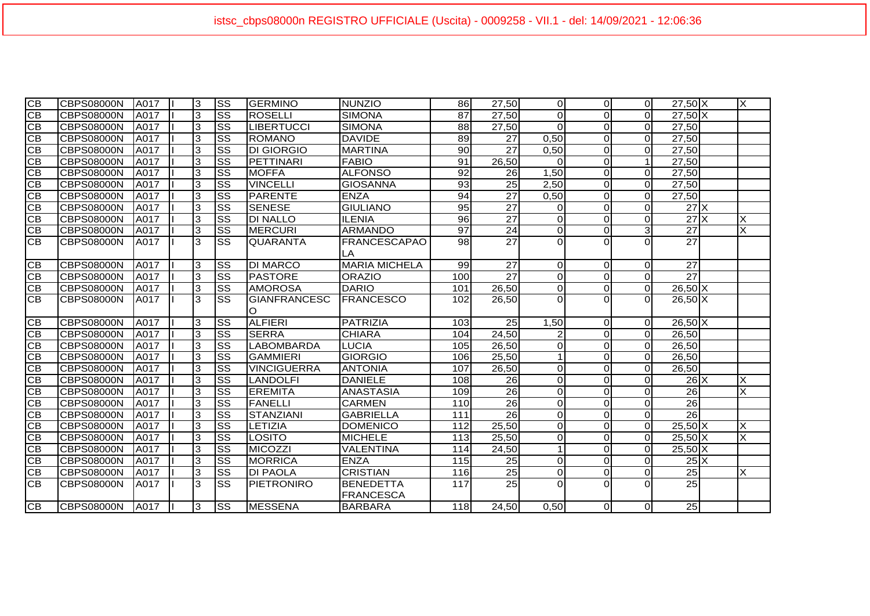| $\overline{CB}$        | <b>CBPS08000N</b> | <b>JA017</b> | l3             | SS                     | <b>GERMINO</b>      | <b>NUNZIO</b>             | 86              | 27,50              | ΟI             | $\Omega$       | $\overline{0}$ | $27,50$ X                         | X                       |
|------------------------|-------------------|--------------|----------------|------------------------|---------------------|---------------------------|-----------------|--------------------|----------------|----------------|----------------|-----------------------------------|-------------------------|
| $\overline{CB}$        | <b>CBPS08000N</b> | A017         | 3              | SS                     | <b>ROSELLI</b>      | <b>SIMONA</b>             | 87              | $\overline{27,50}$ | $\Omega$       | $\Omega$       | $\Omega$       | $27,50$ X                         |                         |
| $\overline{\text{CB}}$ | <b>CBPS08000N</b> | A017         | 3              | SS                     | <b>LIBERTUCCI</b>   | <b>SIMONA</b>             | 88              | 27,50              | $\Omega$       | $\Omega$       | $\Omega$       | 27,50                             |                         |
| CB                     | <b>CBPS08000N</b> | A017         | 3              | SS                     | ROMANO              | <b>DAVIDE</b>             | 89              | 27                 | 0,50           | $\Omega$       | $\Omega$       | 27,50                             |                         |
| $\overline{CB}$        |                   | A017         | 3              | SS                     | <b>DI GIORGIO</b>   | <b>MARTINA</b>            | 90 <sub>0</sub> | 27                 | 0,50           | $\Omega$       | $\Omega$       | 27,50                             |                         |
| CB                     | <b>CBPS08000N</b> | A017         |                | $\overline{\text{ss}}$ |                     | <b>FABIO</b>              | 91              |                    | $\Omega$       | $\Omega$       | $\mathbf 1$    |                                   |                         |
| CB                     | <b>CBPS08000N</b> |              | 3              |                        | PETTINARI           |                           |                 | 26,50              |                |                |                | 27,50                             |                         |
|                        | <b>CBPS08000N</b> | A017         | $\mathbf 3$    | $\overline{\text{ss}}$ | <b>MOFFA</b>        | <b>ALFONSO</b>            | 92              | 26                 | 1,50           | $\Omega$       | $\Omega$       | 27,50                             |                         |
| $\overline{CB}$        | <b>CBPS08000N</b> | A017         | 3              | $\overline{\text{ss}}$ | <b>VINCELLI</b>     | <b>GIOSANNA</b>           | 93              | 25                 | 2,50           | $\Omega$       | $\Omega$       | 27,50                             |                         |
| $\overline{\text{CB}}$ | <b>CBPS08000N</b> | <b>JA017</b> | 3              | $\overline{\text{ss}}$ | PARENTE             | <b>ENZA</b>               | 94              | $\overline{27}$    | 0,50           | $\Omega$       | $\Omega$       | 27,50                             |                         |
| $\overline{CB}$        | <b>CBPS08000N</b> | A017         | 3              | SS                     | <b>SENESE</b>       | <b>GIULIANO</b>           | 95              | $\overline{27}$    | $\Omega$       | $\Omega$       | $\mathbf{O}$   | $27$ $X$                          |                         |
| CB                     | <b>CBPS08000N</b> | <b>A017</b>  | 3              | SS                     | <b>DI NALLO</b>     | <b>ILENIA</b>             | 96              | $\overline{27}$    | $\Omega$       | $\Omega$       | $\mathbf{O}$   | 27X                               | X                       |
| $\overline{CB}$        | <b>CBPS08000N</b> | <b>JA017</b> | 3              | SS                     | <b>MERCURI</b>      | <b>ARMANDO</b>            | 97              | 24                 | $\Omega$       | $\Omega$       | $\overline{3}$ | 27                                | Χ                       |
| $\overline{\text{CB}}$ | <b>CBPS08000N</b> | A017         | 3              | $\overline{\text{ss}}$ | <b>QUARANTA</b>     | <b>FRANCESCAPAO</b><br>LA | $\overline{98}$ | $\overline{27}$    | $\Omega$       | $\Omega$       | $\Omega$       | $\overline{27}$                   |                         |
| $\overline{CB}$        | <b>CBPS08000N</b> | <b>JA017</b> | 3              | SS                     | <b>DI MARCO</b>     | <b>MARIA MICHELA</b>      | 99              | 27                 | ΩI             | $\Omega$       | $\mathbf{O}$   | 27                                |                         |
| $\overline{CB}$        | <b>CBPS08000N</b> | <b>JA017</b> | 3              | $\overline{\text{ss}}$ | <b>PASTORE</b>      | <b>ORAZIO</b>             | 100             | 27                 | $\Omega$       | $\Omega$       | $\overline{0}$ | $\overline{27}$                   |                         |
| $\overline{CB}$        | <b>CBPS08000N</b> | <b>A017</b>  | ပြ             | $\overline{\text{ss}}$ | <b>AMOROSA</b>      | <b>DARIO</b>              | 101             | 26,50              | $\overline{0}$ | $\Omega$       | $\overline{0}$ | $26,50$ X                         |                         |
| lСB                    | <b>CBPS08000N</b> | <b>JA017</b> | 3              | SS                     | <b>GIANFRANCESC</b> | <b>FRANCESCO</b>          | 102             | 26,50              | $\Omega$       | $\Omega$       | $\Omega$       | $26,50$ X                         |                         |
|                        |                   |              |                |                        | $\circ$             |                           |                 |                    |                |                |                |                                   |                         |
| $\overline{CB}$        | <b>CBPS08000N</b> | A017         | 3              | SS                     | <b>ALFIERI</b>      | <b>PATRIZIA</b>           | 103             | 25                 | 1,50           | $\overline{0}$ | $\overline{0}$ | $26,50$ X                         |                         |
| $\overline{CB}$        | <b>CBPS08000N</b> | A017         | ما             | $\overline{\text{ss}}$ | <b>SERRA</b>        | <b>CHIARA</b>             | 104             | 24,50              |                | $\Omega$       | $\overline{0}$ | 26,50                             |                         |
| $\overline{CB}$        | <b>CBPS08000N</b> | A017         | $\overline{3}$ | SS                     | <b>LABOMBARDA</b>   | <b>LUCIA</b>              | 105             | 26,50              | $\Omega$       | $\Omega$       | $\Omega$       | 26,50                             |                         |
| $\overline{CB}$        | <b>CBPS08000N</b> | A017         | $\overline{3}$ | $\overline{\text{ss}}$ | <b>GAMMIERI</b>     | <b>GIORGIO</b>            | 106             | 25,50              |                | $\Omega$       | $\Omega$       | 26,50                             |                         |
| IСВ                    | <b>CBPS08000N</b> | A017         | 3              | $\overline{\text{ss}}$ | <b>VINCIGUERRA</b>  | <b>ANTONIA</b>            | 107             | 26,50              | ΩI             | $\Omega$       | $\mathbf{O}$   | 26,50                             |                         |
| $\overline{CB}$        | <b>CBPS08000N</b> | <b>JA017</b> | 3              | $\overline{\text{ss}}$ | <b>LANDOLFI</b>     | <b>DANIELE</b>            | 108             | 26                 | $\Omega$       | $\Omega$       | $\overline{0}$ | $26$ <sup><math>\chi</math></sup> | X                       |
| $\overline{CB}$        | <b>CBPS08000N</b> | <b>A017</b>  | 3              | $\overline{\text{ss}}$ | <b>EREMITA</b>      | <b>ANASTASIA</b>          | 109             | $\overline{26}$    | $\Omega$       | $\Omega$       | $\mathbf 0$    | 26                                | X                       |
| $\overline{CB}$        | <b>CBPS08000N</b> | A017         | 3              | $\overline{\text{ss}}$ | <b>FANELLI</b>      | <b>CARMEN</b>             | 110             | 26                 | $\Omega$       | $\Omega$       | $\mathbf{0}$   | $\overline{26}$                   |                         |
| $\overline{CB}$        | <b>CBPS08000N</b> | <b>JA017</b> | 3              | SS                     | <b>STANZIANI</b>    | <b>GABRIELLA</b>          | 111             | $\overline{26}$    | $\Omega$       | $\Omega$       | $\mathbf{O}$   | 26                                |                         |
| CB                     | <b>CBPS08000N</b> | A017         | اد             | $\overline{\text{ss}}$ | LETIZIA             | <b>DOMENICO</b>           | 112             | 25,50              | $\Omega$       | $\Omega$       | $\overline{0}$ | $25,50$ X                         | X                       |
| CB                     | <b>CBPS08000N</b> | A017         | 3              | $\overline{\text{SS}}$ | <b>LOSITO</b>       | <b>MICHELE</b>            | 113             | 25,50              | $\Omega$       | $\Omega$       | $\overline{0}$ | $25,50$ X                         | X                       |
| СB                     | <b>CBPS08000N</b> | A017         | 3              | $\overline{\text{ss}}$ | MICOZZI             | VALENTINA                 | 114             | 24,50              | 1              | $\Omega$       | $\Omega$       | $25,50$ X                         |                         |
| <b>CB</b>              | <b>CBPS08000N</b> | A017         | 3              | SS                     | <b>MORRICA</b>      | <b>ENZA</b>               | <b>115</b>      | 25                 | $\Omega$       | $\Omega$       | $\Omega$       | $25$ $X$                          |                         |
| <b>CB</b>              | <b>CBPS08000N</b> | A017         | $\overline{3}$ | $\overline{\text{ss}}$ | <b>DI PAOLA</b>     | <b>CRISTIAN</b>           | <b>116</b>      | $\overline{25}$    | $\Omega$       | $\Omega$       | $\mathbf 0$    | $\overline{25}$                   | $\overline{\mathsf{x}}$ |
| $\overline{\text{CB}}$ | <b>CBPS08000N</b> | <b>JA017</b> | 3              | $\overline{\text{ss}}$ | PIETRONIRO          | <b>BENEDETTA</b>          | 117             | $\overline{25}$    | $\Omega$       | $\Omega$       | $\Omega$       | 25                                |                         |
|                        |                   |              |                |                        |                     | <b>FRANCESCA</b>          |                 |                    |                |                |                |                                   |                         |
| $\overline{CB}$        | <b>CBPS08000N</b> | A017         | 3              | <b>SS</b>              | <b>IMESSENA</b>     | <b>BARBARA</b>            | 118             | 24.50              | 0,50           | $\Omega$       | $\Omega$       | $\overline{25}$                   |                         |